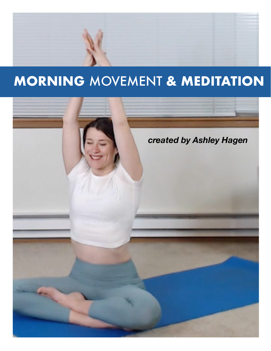

# **MORNING** MOVEMENT **& MEDITATION**

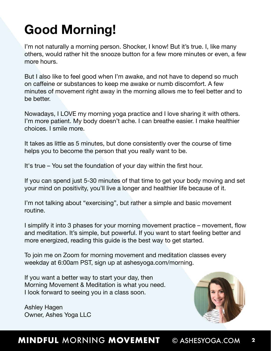# **Good Morning!**

I'm not naturally a morning person. Shocker, I know! But it's true. I, like many others, would rather hit the snooze button for a few more minutes or even, a few more hours.

But I also like to feel good when I'm awake, and not have to depend so much on caffeine or substances to keep me awake or numb discomfort. A few minutes of movement right away in the morning allows me to feel better and to be better.

Nowadays, I LOVE my morning yoga practice and I love sharing it with others. I'm more patient. My body doesn't ache. I can breathe easier. I make healthier choices. I smile more.

It takes as little as 5 minutes, but done consistently over the course of time helps you to become the person that you really want to be.

It's true – You set the foundation of your day within the first hour.

If you can spend just 5-30 minutes of that time to get your body moving and set your mind on positivity, you'll live a longer and healthier life because of it.

I'm not talking about "exercising", but rather a simple and basic movement routine.

I simplify it into 3 phases for your morning movement practice – movement, flow and meditation. It's simple, but powerful. If you want to start feeling better and more energized, reading this guide is the best way to get started.

To join me on Zoom for morning movement and meditation classes every weekday at 6:00am PST, sign up at ashesyoga.com/morning.

If you want a better way to start your day, then Morning Movement & Meditation is what you need. I look forward to seeing you in a class soon.

Ashley Hagen Owner, Ashes Yoga LLC

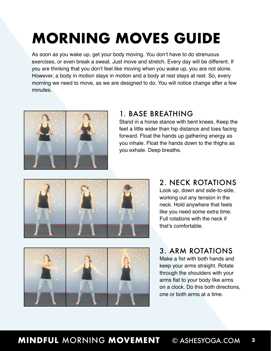# **MORNING MOVES GUIDE**

As soon as you wake up, get your body moving. You don't have to do strenuous exercises, or even break a sweat. Just move and stretch. Every day will be different. If you are thinking that you don't feel like moving when you wake up, you are not alone. However, a body in motion stays in motion and a body at rest stays at rest. So, every morning we need to move, as we are designed to do. You will notice change after a few minutes.



#### 1. BASE BREATHING

Stand in a horse stance with bent knees. Keep the feet a little wider than hip distance and toes facing forward. Float the hands up gathering energy as you inhale. Float the hands down to the thighs as you exhale. Deep breaths.



### 2. NECK ROTATIONS

Look up, down and side-to-side, working out any tension in the neck. Hold anywhere that feels like you need some extra time. Full rotations with the neck if that's comfortable.



3. ARM ROTATIONS

Make a fist with both hands and keep your arms straight. Rotate through the shoulders with your arms flat to your body like arms on a clock. Do this both directions, one or both arms at a time.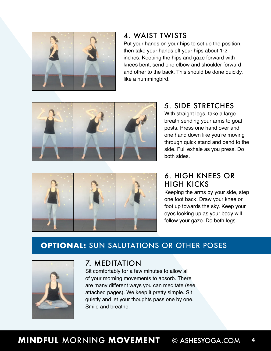

### 4. WAIST TWISTS

Put your hands on your hips to set up the position, then take your hands off your hips about 1-2 inches. Keeping the hips and gaze forward with knees bent, send one elbow and shoulder forward and other to the back. This should be done quickly, like a hummingbird.



### 5. SIDE STRETCHES

With straight legs, take a large breath sending your arms to goal posts. Press one hand over and one hand down like you're moving through quick stand and bend to the side. Full exhale as you press. Do both sides.



### 6. HIGH KNEES OR HIGH KICKS

Keeping the arms by your side, step one foot back. Draw your knee or foot up towards the sky. Keep your eyes looking up as your body will follow your gaze. Do both legs.

### **OPTIONAL:** SUN SALUTATIONS OR OTHER POSES



#### 7. MEDITATION

Sit comfortably for a few minutes to allow all of your morning movements to absorb. There are many different ways you can meditate (see attached pages). We keep it pretty simple. Sit quietly and let your thoughts pass one by one. Smile and breathe.

## **MINDFUL** MORNING **MOVEMENT** © ASHESYOGA.COM **<sup>4</sup>**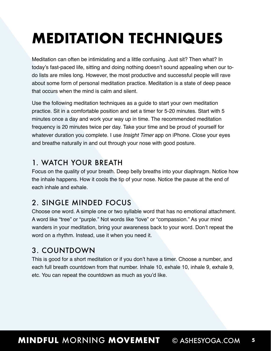# **MEDITATION TECHNIQUES**

Meditation can often be intimidating and a little confusing. Just sit? Then what? In today's fast-paced life, sitting and doing nothing doesn't sound appealing when our todo lists are miles long. However, the most productive and successful people will rave about some form of personal meditation practice. Meditation is a state of deep peace that occurs when the mind is calm and silent.

Use the following meditation techniques as a guide to start your own meditation practice. Sit in a comfortable position and set a timer for 5-20 minutes. Start with 5 minutes once a day and work your way up in time. The recommended meditation frequency is 20 minutes twice per day. Take your time and be proud of yourself for whatever duration you complete. I use *Insight Timer* app on iPhone. Close your eyes and breathe naturally in and out through your nose with good posture.

### 1. WATCH YOUR BREATH

Focus on the quality of your breath. Deep belly breaths into your diaphragm. Notice how the inhale happens. How it cools the tip of your nose. Notice the pause at the end of each inhale and exhale.

### 2. SINGLE MINDED FOCUS

Choose one word. A simple one or two syllable word that has no emotional attachment. A word like "tree" or "purple." Not words like "love" or "compassion." As your mind wanders in your meditation, bring your awareness back to your word. Don't repeat the word on a rhythm. Instead, use it when you need it.

### 3. COUNTDOWN

This is good for a short meditation or if you don't have a timer. Choose a number, and each full breath countdown from that number. Inhale 10, exhale 10, inhale 9, exhale 9, etc. You can repeat the countdown as much as you'd like.